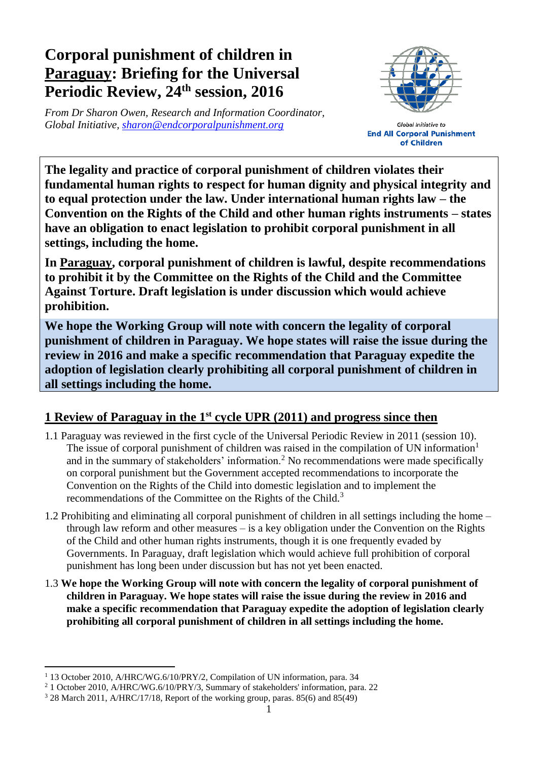## **Corporal punishment of children in Paraguay: Briefing for the Universal Periodic Review, 24 th session, 2016**

*From Dr Sharon Owen, Research and Information Coordinator, Global Initiative, [sharon@endcorporalpunishment.org](mailto:sharon@endcorporalpunishment.org)*



Global Initiative to **End All Corporal Punishment** of Children

**The legality and practice of corporal punishment of children violates their fundamental human rights to respect for human dignity and physical integrity and to equal protection under the law. Under international human rights law – the Convention on the Rights of the Child and other human rights instruments – states have an obligation to enact legislation to prohibit corporal punishment in all settings, including the home.**

**In Paraguay, corporal punishment of children is lawful, despite recommendations to prohibit it by the Committee on the Rights of the Child and the Committee Against Torture. Draft legislation is under discussion which would achieve prohibition.**

**We hope the Working Group will note with concern the legality of corporal punishment of children in Paraguay. We hope states will raise the issue during the review in 2016 and make a specific recommendation that Paraguay expedite the adoption of legislation clearly prohibiting all corporal punishment of children in all settings including the home.**

## **1 Review of Paraguay in the 1st cycle UPR (2011) and progress since then**

- 1.1 Paraguay was reviewed in the first cycle of the Universal Periodic Review in 2011 (session 10). The issue of corporal punishment of children was raised in the compilation of UN information<sup>1</sup> and in the summary of stakeholders' information.<sup>2</sup> No recommendations were made specifically on corporal punishment but the Government accepted recommendations to incorporate the Convention on the Rights of the Child into domestic legislation and to implement the recommendations of the Committee on the Rights of the Child.<sup>3</sup>
- 1.2 Prohibiting and eliminating all corporal punishment of children in all settings including the home through law reform and other measures – is a key obligation under the Convention on the Rights of the Child and other human rights instruments, though it is one frequently evaded by Governments. In Paraguay, draft legislation which would achieve full prohibition of corporal punishment has long been under discussion but has not yet been enacted.
- 1.3 **We hope the Working Group will note with concern the legality of corporal punishment of children in Paraguay. We hope states will raise the issue during the review in 2016 and make a specific recommendation that Paraguay expedite the adoption of legislation clearly prohibiting all corporal punishment of children in all settings including the home.**

 $\overline{a}$ 

<sup>&</sup>lt;sup>1</sup> 13 October 2010, A/HRC/WG.6/10/PRY/2, Compilation of UN information, para. 34

<sup>&</sup>lt;sup>2</sup> 1 October 2010, A/HRC/WG.6/10/PRY/3, Summary of stakeholders' information, para. 22

<sup>3</sup> 28 March 2011, A/HRC/17/18, Report of the working group, paras. 85(6) and 85(49)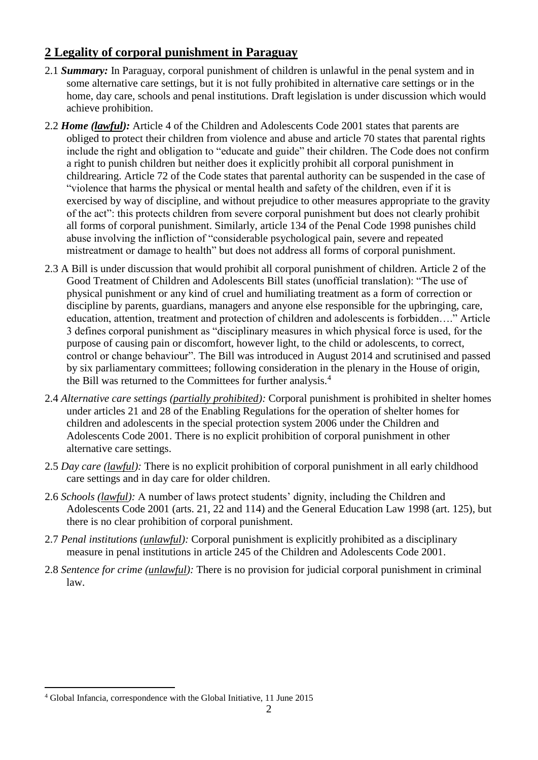## **2 Legality of corporal punishment in Paraguay**

- 2.1 *Summary:* In Paraguay, corporal punishment of children is unlawful in the penal system and in some alternative care settings, but it is not fully prohibited in alternative care settings or in the home, day care, schools and penal institutions. Draft legislation is under discussion which would achieve prohibition.
- 2.2 *Home (lawful):* Article 4 of the Children and Adolescents Code 2001 states that parents are obliged to protect their children from violence and abuse and article 70 states that parental rights include the right and obligation to "educate and guide" their children. The Code does not confirm a right to punish children but neither does it explicitly prohibit all corporal punishment in childrearing. Article 72 of the Code states that parental authority can be suspended in the case of "violence that harms the physical or mental health and safety of the children, even if it is exercised by way of discipline, and without prejudice to other measures appropriate to the gravity of the act": this protects children from severe corporal punishment but does not clearly prohibit all forms of corporal punishment. Similarly, article 134 of the Penal Code 1998 punishes child abuse involving the infliction of "considerable psychological pain, severe and repeated mistreatment or damage to health" but does not address all forms of corporal punishment.
- 2.3 A Bill is under discussion that would prohibit all corporal punishment of children. Article 2 of the Good Treatment of Children and Adolescents Bill states (unofficial translation): "The use of physical punishment or any kind of cruel and humiliating treatment as a form of correction or discipline by parents, guardians, managers and anyone else responsible for the upbringing, care, education, attention, treatment and protection of children and adolescents is forbidden…." Article 3 defines corporal punishment as "disciplinary measures in which physical force is used, for the purpose of causing pain or discomfort, however light, to the child or adolescents, to correct, control or change behaviour". The Bill was introduced in August 2014 and scrutinised and passed by six parliamentary committees; following consideration in the plenary in the House of origin, the Bill was returned to the Committees for further analysis.<sup>4</sup>
- 2.4 *Alternative care settings (partially prohibited):* Corporal punishment is prohibited in shelter homes under articles 21 and 28 of the Enabling Regulations for the operation of shelter homes for children and adolescents in the special protection system 2006 under the Children and Adolescents Code 2001. There is no explicit prohibition of corporal punishment in other alternative care settings.
- 2.5 *Day care (lawful):* There is no explicit prohibition of corporal punishment in all early childhood care settings and in day care for older children.
- 2.6 *Schools (lawful):* A number of laws protect students' dignity, including the Children and Adolescents Code 2001 (arts. 21, 22 and 114) and the General Education Law 1998 (art. 125), but there is no clear prohibition of corporal punishment.
- 2.7 *Penal institutions (unlawful):* Corporal punishment is explicitly prohibited as a disciplinary measure in penal institutions in article 245 of the Children and Adolescents Code 2001.
- 2.8 *Sentence for crime (unlawful):* There is no provision for judicial corporal punishment in criminal law.

 $\overline{a}$ 

<sup>4</sup> Global Infancia, correspondence with the Global Initiative, 11 June 2015